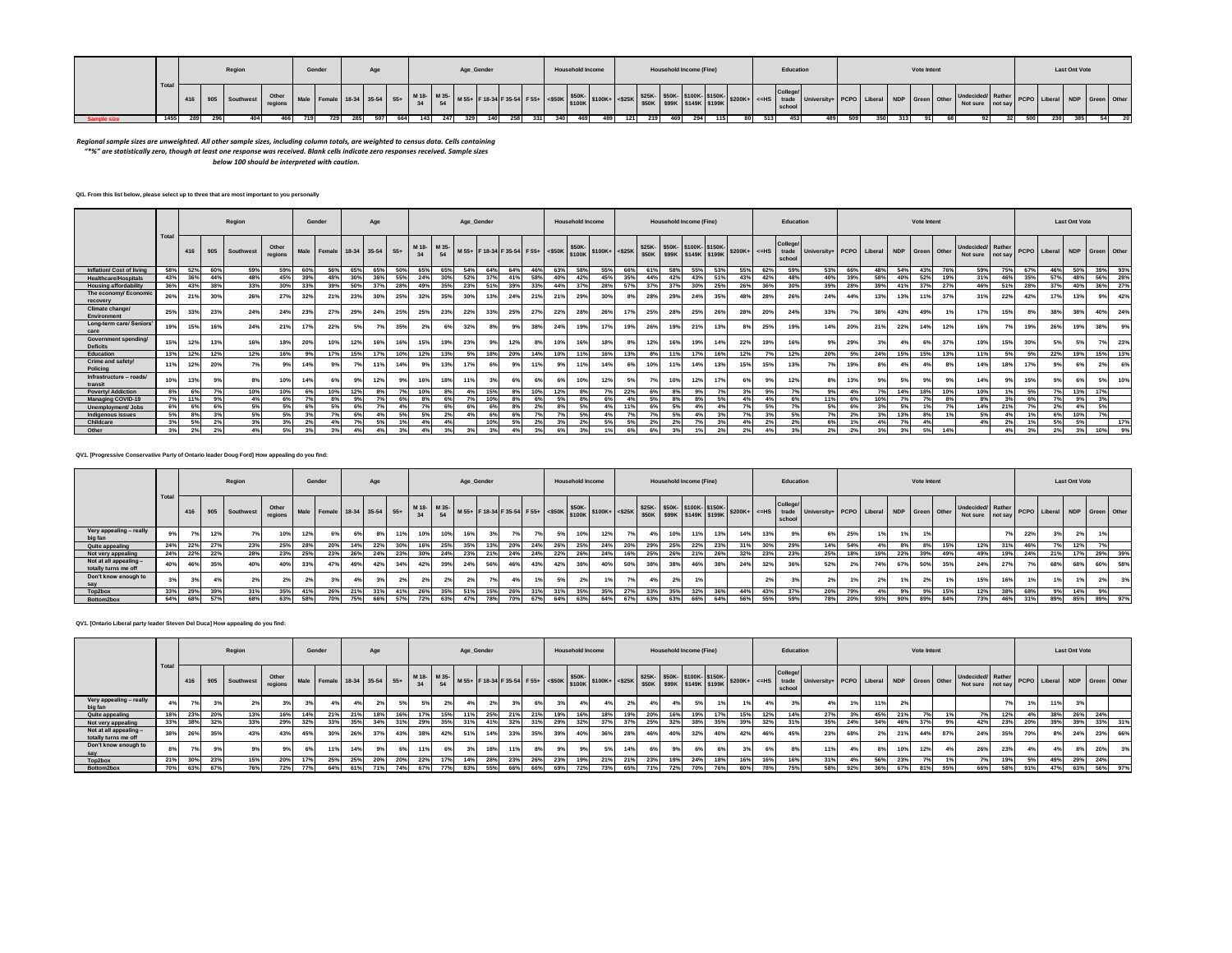|  |      |       | Regior            |       | Gender                           | Age |     |     |  | Age_Gender |  | <b>Household Income</b> |  |     | <b>Household Income (Fine)</b> |                           |  | Education |                                                             |     |                                   | Vote Intent |                                       |              | <b>Last Ont Vote</b> |                                 |  |
|--|------|-------|-------------------|-------|----------------------------------|-----|-----|-----|--|------------|--|-------------------------|--|-----|--------------------------------|---------------------------|--|-----------|-------------------------------------------------------------|-----|-----------------------------------|-------------|---------------------------------------|--------------|----------------------|---------------------------------|--|
|  |      |       | 416 905 Southwest | Other | Male Female 18-34 35-54 55+ M18- |     |     |     |  |            |  |                         |  |     |                                | \$50K \$99K \$149K \$199K |  | schoo     | 525K- \$50K- \$100K- \$150K- \$200K+ <= HS trade University |     | ity+ PCPO Liberal NDP Green Other |             | Undecided/ Rather<br>Not sure not say |              |                      | er PCPO Liberal NDP Green Other |  |
|  | 1455 | - 289 |                   |       |                                  |     | 664 | 143 |  |            |  |                         |  | 219 |                                |                           |  | 453       | 489                                                         | 509 | 350                               |             |                                       | -500<br>ັບບາ |                      |                                 |  |

# Regional sample sizes are unweighted. All other sample sizes, including column totals, are weighted to census data. Cells containing<br>\*\*\*\* are statistically zero, though at least one response was received. Blank cells indic

*below 100 should be interpreted with caution.* 

# **QI1. From this list below, please select up to three that are most important to you personally**

|                                         |              |     |     | Region            |                  |     | Gender                      |     | Age |     |                                                                                                                                                  |     | Age_Gender |     |     |     |     | <b>Household Income</b> |     |     |                 |     | <b>Household Income (Fine)</b> |     |                |     | Education                                        |                                          |     |     |     | <b>Vote Intent</b> |     |                                       |     |     |                              | <b>Last Ont Vote</b> |     |     |
|-----------------------------------------|--------------|-----|-----|-------------------|------------------|-----|-----------------------------|-----|-----|-----|--------------------------------------------------------------------------------------------------------------------------------------------------|-----|------------|-----|-----|-----|-----|-------------------------|-----|-----|-----------------|-----|--------------------------------|-----|----------------|-----|--------------------------------------------------|------------------------------------------|-----|-----|-----|--------------------|-----|---------------------------------------|-----|-----|------------------------------|----------------------|-----|-----|
|                                         | <b>Total</b> |     |     | 416 905 Southwest | Other<br>regions |     | Male Female 18-34 35-54 55+ |     |     |     | M 18- M 35- M 55+ F 18-34 F 35-54 F 55+ <\$50K \$500K + <\$25K \$25K- \$50K- \$100K- \$150K- \$100K- \$100K + \$100K \$100K \$100K \$100K \$109K |     |            |     |     |     |     |                         |     |     |                 |     |                                |     |                |     | <b>College</b><br>$$200K + < HS$ trade<br>school | University+ PCPO Liberal NDP Green Other |     |     |     |                    |     | Undecided/ Rather<br>Not sure not say |     |     | PCPO Liberal NDP Green Other |                      |     |     |
| <b>Inflation/ Cost of living</b>        | 58%          | 52% | 60% | 59%               | 59%              | 60% | 56%                         | 65% | 65% | 50% | 65%                                                                                                                                              | 65% | 54%        | 64% | 64% | 46% | 63% | 58%                     |     | 66% | 61 <sup>°</sup> | 58% |                                |     | 55%            | 62% | 59%                                              | 53%                                      | 66% | 48% | 54% | 43%                | 76% | 59%                                   | 75% | 67% | 46%                          | 50%                  | 39% | 93% |
| <b>Healthcare/Hospitals</b>             | 43%          | 36% | 44% | 48%               | 45%              | 39% | 48%                         | 30% |     | 55% | 24%                                                                                                                                              | 30% | 52%        | 37% |     | 58% | 40% | 42%                     |     | 35% | 44%             | 42% | 43%                            | 519 | 43%            | 42% | 48%                                              | 40%                                      | 39% | 58% | 40% | 52%                | 19% | 31%                                   | 46% | 35% | 57%                          | 48%                  | 56% | 28% |
| <b>Housing affordability</b>            | 36%          | 43% | 38% | 33%               | 30%              | 33% | 39%                         | 50% |     | 28% | 49%                                                                                                                                              | 35% | 23%        | 51% | 39% | 33% | 44% | 37%                     | 28% | 57% | 37%             | 37% | 30%                            | 25% | 26%            | 36% | 30%                                              | 39%                                      | 28% | 39% | 41% | 37%                | 27% | 46%                                   | 51% | 28% | 37%                          | 40%                  | 36% | 27% |
| The economy/ Economic<br>recovery       | 26%          | 21% | 30% | 26%               | 27%              | 32% | 21%                         | 23% | 30% | 25% | 32%                                                                                                                                              | 35% | 30%        | 13% | 24% | 21% | 21% | 29%                     | 30% |     | 28%             | 29% | 24%                            | 35% | 48°            | 28% | 26%                                              | 24%                                      | 44% | 13% | 13% | 11%                | 37% | 31%                                   | 22% | 42% | 17%                          | 13%                  | 9%  | 42% |
| Climate change<br>Environment           | 25%          | 33% | 23% | 24%               | 24%              | 23% | 27%                         | 29% | 24% | 25% | 25%                                                                                                                                              | 23% | 22%        | 33% | 25% | 27% | 22% | 28%                     | 26% | 17% | 25%             | 28% | 25%                            | 26% | 28%            | 20% | 24%                                              | 33%                                      | 7%  | 38% | 43% | 49%                |     | 17%                                   | 15% | 8%  | 38%                          | 38%                  | 40% | 24% |
| Long-term care/ Seniors<br>Care         | 19%          | 15% | 16% | 24%               | 21%              | 17% | 22%                         | 5%  | 7%  | 35% | 2%                                                                                                                                               | 6%  | 32%        | 8%  | 9%  | 38% | 24% | 19%                     | 17% | 19% | 26%             | 19% | 21%                            | 13% | 82             | 25% | 19%                                              | 14%                                      | 20% | 21% | 22% | 14%                | 12% | 16%                                   | 7%  | 19% | 26%                          | 19%                  | 38% | 9%  |
| Government spending/<br><b>Deficits</b> | 15%          | 12% | 13% | 16%               | 18%              | 20% | 10%                         | 12% | 16% | 16% | 15%                                                                                                                                              | 19% | 23%        | 9%  | 12% | 8%  | 10% | 16%                     | 18% |     | 12%             | 16% | 19%                            | 14% | 22%            | 19% | 16%                                              | 9%                                       | 29% | 3%  | 4%  | 6%                 | 37% | 10%                                   | 15% | 30% |                              | 5%                   | 7%  | 23% |
| Education                               | 13%          | 12% | 12% | 12%               | 16%              |     | 17%                         | 15% | 17% | 10% | 12%                                                                                                                                              | 13% |            | 18% | 20% | 14% | 10% | 11%                     | 16% | 13% | 8%              | 11% | 17%                            | 16% | 12%            | 7%  | 12%                                              | 20%                                      | 5%  | 24% | 15% | 15%                | 13% | 11%                                   | 5%  | 5%  | 22%                          | 19%                  | 15% | 13% |
| Crime and safety/<br>Policing           | 11%          | 12% | 20% |                   |                  |     |                             |     |     | 14% | 9%                                                                                                                                               | 13% | 17%        |     |     |     | 9%  | 11%                     | 14% |     | 10%             | 11% | 14%                            |     |                | 15% | 13%                                              | 7%                                       | 19% | 8%  |     | 4%                 |     | 14%                                   | 18% | 17% | 9%                           | 6%                   | 2%  | 6%  |
| Infrastructure - roads/<br>transit      | 10%          | 13% | 9%  | 8%                | 10%              |     |                             |     |     | 9%  | 16%                                                                                                                                              | 18% | 11%        |     |     |     |     | 10%                     | 12% |     | 7%              | 10% | 12%                            |     |                | 9%  | 12%                                              | 8%                                       | 13% | 9%  | 5%  | 9%                 |     | 14%                                   | 9%  | 15% |                              | 6%                   | 5%  | 10% |
| <b>Poverty/ Addiction</b>               | 8%           | 6%  | 7%  | 10%               | 10%              |     | 10%                         |     |     |     | 10%                                                                                                                                              |     |            |     |     |     |     |                         |     | 22% | 63              |     |                                |     |                |     |                                                  | 9%                                       | 4%  |     | 14% | 18%                | 10% | 10%                                   |     | 5%  |                              | 13%                  | 17% |     |
| <b>Managing COVID-19</b>                | 7%           |     | 9%  | 4%                |                  |     |                             |     |     |     |                                                                                                                                                  |     |            | 10% |     |     | 5%  |                         |     |     | 5%              |     |                                |     | A <sub>0</sub> |     | 6%                                               | 11%                                      | 69  | 10% |     |                    |     | 8%                                    | 3%  | 6%  |                              | 9%                   | 3%  |     |
| Unemployment/ Jobs                      | 6%           | 6%  | 6%  | 5%                |                  |     |                             |     |     |     |                                                                                                                                                  |     |            |     |     |     |     |                         |     |     | 63              |     |                                |     |                | 5%  |                                                  | 5%                                       |     |     |     |                    |     | 14%                                   | 21% | 7%  | 2%                           | 4%                   | 5%  |     |
| Indigenous issues                       | 5%           | 8%  | 3%  | 5%                |                  |     |                             |     |     |     |                                                                                                                                                  |     |            |     |     |     |     |                         |     |     |                 |     |                                |     |                |     |                                                  | 7%                                       | 2%  | 3%  | 13% |                    |     | 5%                                    | 4%  | 1%  |                              | 10%                  | 7%  |     |
| Childcare                               | 3%           | 5%  | 2%  | 3%                | 3%               | 2%  |                             |     | E96 |     |                                                                                                                                                  |     |            |     | 59  |     |     |                         |     |     | 2 <sup>o</sup>  |     |                                |     |                |     | 2%                                               | 6%                                       |     |     |     |                    |     | 4%                                    | 2%  | 1%  | 5%                           | 5%                   |     | 17% |
| Other                                   | 3%           | 2%  | 2%  | 4%                | 5%               | 3%  |                             |     | 4%  | 3%  | 4%                                                                                                                                               |     |            | 3%  | 4%  |     | 6%  |                         |     | 6%  | 6%              |     |                                |     |                |     |                                                  | 2%                                       | 2%  | 3%  | 3%  | 5%                 | 14% |                                       | 4%  | 3%  | 2%                           | 3%                   | 10% | 9%  |

# **QV1. [Progressive Conservative Party of Ontario leader Doug Ford] How appealing do you find:**

|                                              |                   |     |     | Region                  |       |                 | Gender                      |     | Age |     |                   |     | Age_Gender |                 |     |     |     | <b>Household Income</b> |                                                       |     |                               |     | <b>Household Income (Fine)</b> |     |     |     | Education         |                                                              |     |     |      | Vote Intent |     |                                       |       |     |     | <b>Last Ont Vote</b> |     |                              |
|----------------------------------------------|-------------------|-----|-----|-------------------------|-------|-----------------|-----------------------------|-----|-----|-----|-------------------|-----|------------|-----------------|-----|-----|-----|-------------------------|-------------------------------------------------------|-----|-------------------------------|-----|--------------------------------|-----|-----|-----|-------------------|--------------------------------------------------------------|-----|-----|------|-------------|-----|---------------------------------------|-------|-----|-----|----------------------|-----|------------------------------|
|                                              | Tota <sub>s</sub> | 41  |     | 1 905 Southwest regions | Other |                 | Male Female 18-34 35-54 55+ |     |     |     | M 18- M 35-<br>34 |     |            |                 |     |     |     |                         | M 55+ F 18-34 F 35-54 F 55+ S50K S50K S100K+ S25K SRL |     | \$25K- \$50K- \$100K- \$150K- |     | \$50K \$99K \$149K \$199K      |     |     |     | College<br>school | \$200K+ <= HS trade University+ PCPO Liberal NDP Green Other |     |     |      |             |     | Undecided/ Rather<br>Not sure not say |       |     |     |                      |     | PCPO Liberal NDP Green Other |
| Very appealing - really<br>big fan           |                   | 7%  | 12% |                         | 10%   | 12%             |                             |     |     |     | 10%               | 10% | 16%        |                 |     |     |     | 10%                     | 12%                                                   |     | 4%                            | 10% | 11%                            | 13% | 14% | 13% |                   |                                                              | 25% |     | 4.91 | 1%          |     |                                       |       | 22% | 3%  |                      |     |                              |
| Quite appealing                              | 24%               | 22% | 27% | 23%                     | 25%   | 28%             | 20                          |     |     | 30% |                   | 25% | 35%        |                 |     |     | 26% | 25%                     | 24%                                                   | 20% | 29%                           | 25% | 22%                            | 23% |     | 30% | 29%               | 14%                                                          | 54% |     | 8%   |             |     | 12%                                   |       | 46° |     |                      |     |                              |
| Not very appealing                           | 24%               | 22% | 22% | 28%                     | 23%   | 25%             | 23%                         | 26% | 24% | 23% | 30%               | 24% | 23%        | 21%             | 24% |     | 22% | 26%                     | 24%                                                   |     | 25%                           | 26% | 21%                            | 26% | 32% | 23% | 23%               | 25%                                                          | 18% | 19% | 22%  | 39%         | 49% | 49%                                   | 19%   | 24% | 21% |                      | 29% | 39%                          |
| Not at all appealing<br>totally turns me off | 40%               | 46% | 35% |                         | 40%   |                 |                             | 49% | 42% | 34% | 42%               | 39% | 24%        | 56%             | 46% | 43% | 42% | 38%                     | 40%                                                   | 50% | 38%                           | 38% | 46%                            | 38% | 24% | 32% |                   | 52%                                                          |     |     | 67%  | 50%         | 35% | 24%                                   | omes. |     | 68% |                      | 60% | 58%                          |
| Don't know enough to                         |                   | 3%  |     |                         |       | 27 <sub>n</sub> |                             |     |     |     | 2%                | 2%  | 2%         |                 |     |     |     | 2%                      |                                                       |     | 4%                            |     |                                |     |     | 2%  |                   |                                                              |     |     |      | 2%          |     | 15%                                   | 16%   |     | 1%1 |                      | 2%  | 3%                           |
| Top2box                                      | 33%               | 29% | 39% | 31%                     | 35%   |                 | 26                          | 21% |     |     | 26%               | 35% | 51%        | 15 <sup>°</sup> |     |     | 31% | 35%                     | 35%                                                   |     |                               | 35% | 32%                            | 36% | 44% | 43% | 37%               | 20%                                                          | 79% |     | 9%   |             |     | 12%                                   | 38%   | 68% | 9%  | 14%                  |     |                              |
| Bottom2box                                   | 64%               | 68% | 57% | 68%                     | 63%   | 58%             | 70%                         | 75% | 66% | 57% | 72%               | 63% | 47%        | 78%             | 70% | 67% | 64% | 63%                     | 64%                                                   | 67% | 63%                           | 63% | 66%                            | 64% | 56% | 55% | 59%               | 78%                                                          | 20% | 93% | 90%  | 89%         | 84% | 73%                                   | 46%   | 31% | 89% | 85%                  |     | 89% 97%                      |

#### **QV1. [Ontario Liberal party leader Steven Del Duca] How appealing do you find:**

|                                                |      |     |     | Region                                              |     |     | Gender |     | Age |     |     |     | Age_Gender |     |     |     |                 | <b>Household Income</b> |     |     |     |     | <b>Household Income (Fine)</b> |     |     |     | Education                |                                                                                                                                                                                                                                                          |     |     |     | Vote Intent |     |                                                                       |     |         |     | <b>Last Ont Vote</b> |     |         |
|------------------------------------------------|------|-----|-----|-----------------------------------------------------|-----|-----|--------|-----|-----|-----|-----|-----|------------|-----|-----|-----|-----------------|-------------------------|-----|-----|-----|-----|--------------------------------|-----|-----|-----|--------------------------|----------------------------------------------------------------------------------------------------------------------------------------------------------------------------------------------------------------------------------------------------------|-----|-----|-----|-------------|-----|-----------------------------------------------------------------------|-----|---------|-----|----------------------|-----|---------|
|                                                | Tota |     |     | 416 905 Southwest Other Male Female 18-34 35-54 55+ |     |     |        |     |     |     |     |     |            |     |     |     |                 |                         |     |     |     |     |                                |     |     |     | <b>College</b><br>school | M18- M35- M55+ F18-34 F35-54 F55- <550K \$500K + <525K \$250K \$250K \$100K + <525K \$50K \$100K + <525K \$500K \$100K + <625K \$500K \$100K \$100K \$100K \$100K \$100K \$100K \$100K \$100K \$100K \$100K \$100K \$100K \$100K \$100K \$100K \$100K \$ |     |     |     |             |     | ar Undecided/ Rather PCPO Liberal NDP Green Other<br>Not sure not say |     |         |     |                      |     |         |
| Very appealing - really<br>big fan             |      |     |     |                                                     |     |     |        |     |     |     | 5%  |     |            |     |     |     |                 | 4%                      |     |     |     | 4%  |                                |     |     |     |                          | 4%                                                                                                                                                                                                                                                       |     | 11% |     |             |     |                                                                       |     |         | 11% |                      |     |         |
| Quite appealing                                | 18%  | 23% | 20% |                                                     | 16% |     |        |     |     |     |     | 15% |            | 25% |     | 21% | 19 <sup>°</sup> | 16%                     |     |     |     | 16% |                                |     |     |     |                          | 27%                                                                                                                                                                                                                                                      |     | 45% |     |             |     |                                                                       | 12% |         | 38% | 26%                  | 24% |         |
| Not very appealing                             | 33%  | 38% | 32% | 33%                                                 | 29% |     |        | 35% |     | 31% | 29% | 35% |            | 41% | 32% | 31% | 29%             | 32%                     |     |     | 25% | 32% | 38%                            |     |     | 32% |                          | 35%                                                                                                                                                                                                                                                      | 24% | 34% | 46% | $37^\circ$  |     | 42%                                                                   | 23% | 20%     | 39% | 39%                  | 33% | 31%     |
| Not at all appealing -<br>totally turns me off | 38%  | 26% | 35% |                                                     | 43% | 45% | 30%    | 26% | 37% | 43% | 38% | 42% | 51%        |     | 33% | 35% | 39%             | 40%                     | 36% | 28% | 46% | 40% | 32%                            |     |     | 46% | 45%                      | 23%                                                                                                                                                                                                                                                      | 68% | 2%  | 21% | 44%         | 87% | 24%                                                                   | 35% | 70%     |     | 24%                  | 23% | 66%     |
| Don't know enough to                           |      | 7%  |     |                                                     |     |     | 11%    | 14% |     |     | 11% | 6%  |            | 18% | 11% | 8%  |                 | 9%                      |     | 14% | 6%  | 9%  | 6%                             |     |     | 6%  |                          | 11%                                                                                                                                                                                                                                                      | 4%  | 8%  | 10% | 12%         |     | 26%                                                                   | 23% | 4%      |     | 8%                   | 20% | 3%      |
| Top2box                                        | 21%  | 30% | 23% | 15%                                                 | 20% |     | 25%    | 25% | 20% | 20% | 22% | 17% | 14%        | 28% |     | 26% | 23%             | 19%                     |     |     | 23% | 19% | 24%                            |     |     | 16% |                          | 31%                                                                                                                                                                                                                                                      | 4%  | 56% | 23% |             |     |                                                                       | 19% | 5%      | 49% | 29%                  | 24% |         |
| Bottom2box                                     | 70%  | 63% | 67% |                                                     |     | 77% | 64%    | 61% | 71% | 74% | 67% | 77% | 83%        | 55% | 66% | 66% | 69%             | 72%                     | 73% | 65% | 71% | 72% | 70%                            | 76% | 80% | 78% |                          | 58%                                                                                                                                                                                                                                                      | 92% | 36% | 67% | 81%         | 95% | 66%                                                                   |     | 58% 91% | 47% | 63%                  |     | 56% 97% |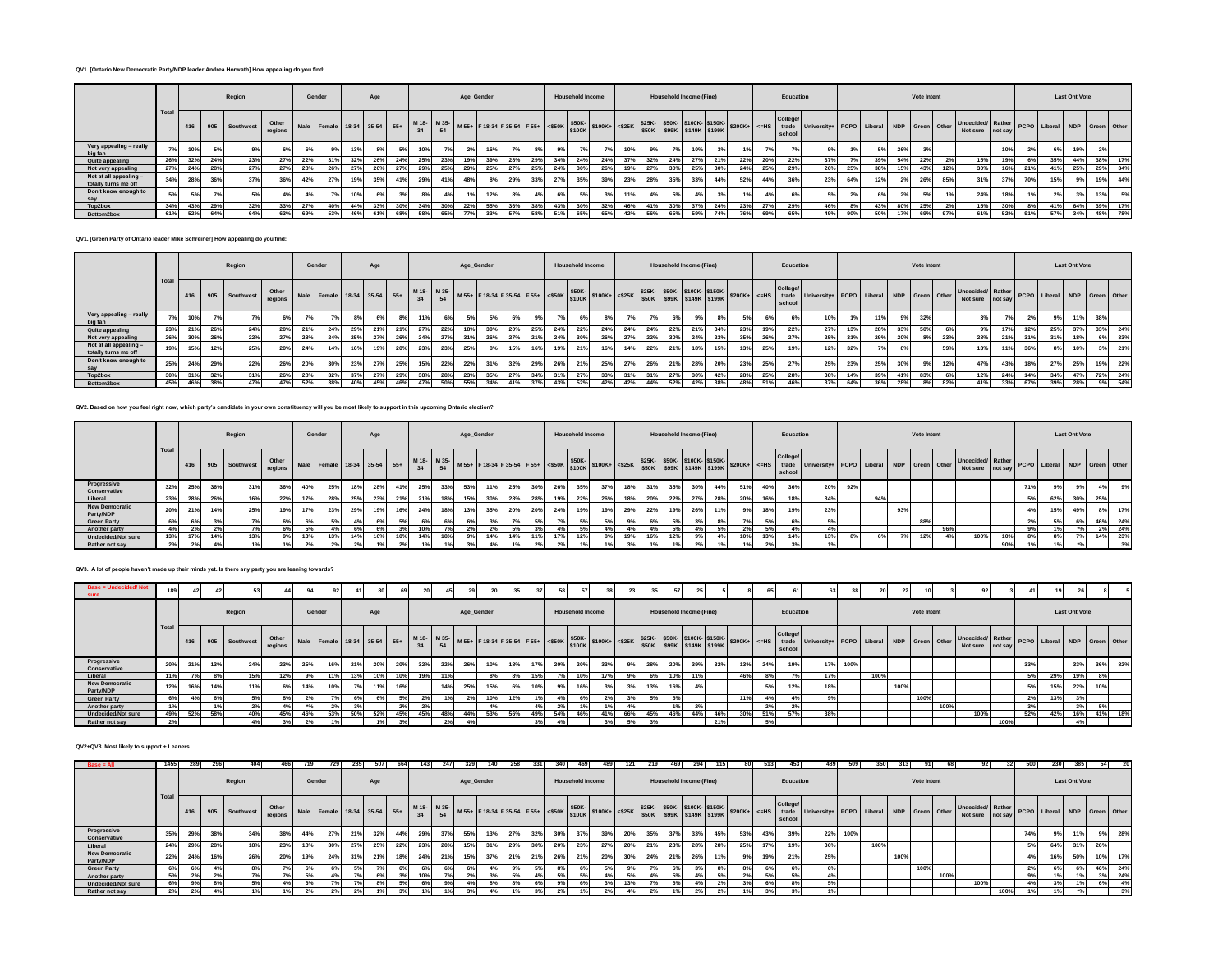#### **QV1. [Ontario New Democratic Party/NDP leader Andrea Horwath] How appealing do you find:**

|                                                |      |     |     | Region                    |       |     | Gender                                    |     | Age |     |     |     | Age_Gender |     |     |     |     | <b>Household Income</b> |                                                 |     |     | Household Income (Fine) |     |     |     |     | Education          |                                                                                                                                                                                                                                                                                                  |     |     |     | Vote Intent |     |                                                                       |     |     |     | <b>Last Ont Vote</b> |     |         |
|------------------------------------------------|------|-----|-----|---------------------------|-------|-----|-------------------------------------------|-----|-----|-----|-----|-----|------------|-----|-----|-----|-----|-------------------------|-------------------------------------------------|-----|-----|-------------------------|-----|-----|-----|-----|--------------------|--------------------------------------------------------------------------------------------------------------------------------------------------------------------------------------------------------------------------------------------------------------------------------------------------|-----|-----|-----|-------------|-----|-----------------------------------------------------------------------|-----|-----|-----|----------------------|-----|---------|
|                                                | Tota |     |     | 416 905 Southwest regions | Other |     | Male Female 18-34 35-54 55+ M18- M35- Mb. |     |     |     |     |     |            |     |     |     |     |                         | W 55+ F 18-34 F 35-54 F 55+ S50K S100K+ S25K CM |     |     |                         |     |     |     |     | College/<br>school | $K$ \$25K- \$50K- \$100K- \$150K- \$200K+ $\left  \begin{array}{c} x \text{ of } 525K \\ y \text{ of } x \text{ of } 599K \end{array} \right $ \$250K- \$149K \$199K \$200K+ $\left  \begin{array}{c} x \text{ of } 525K \\ y \text{ of } 525K \end{array} \right $ PCPO Liberal NDP Green Other |     |     |     |             |     | ner Undecided Rather PCPO Liberal NDP Green Other<br>Not sure not say |     |     |     |                      |     |         |
| Very appealing - really<br>big fan             |      | 10% |     |                           |       | 6%  |                                           | 13% | 8%  | 5%  | 10% |     |            |     |     | 8%  |     |                         |                                                 |     | 9%  |                         |     |     |     |     |                    | 9%                                                                                                                                                                                                                                                                                               |     | 5%  | 26% |             |     |                                                                       | 10% | 2%  |     | 19%                  | 2%  |         |
| Quite appealing                                | 26%  | 32% | 24% | 23%                       | 27%   | 22% |                                           |     |     | 24% | 25% | 23% |            |     | 28% |     | 34% | 24%                     | 24%                                             |     | 32% | 24%                     |     |     | 22% | 20% | 22%                | 37%                                                                                                                                                                                                                                                                                              | 7°/ | 39% | 54% |             |     | 15%                                                                   | 19% | 6%  | 35% | 44%                  | 38% | 17%     |
| Not very appealing                             | 27%  | 24% | 28% | 27%                       | 27%   | 28% | 26%                                       |     | 26% | 27% | 29% | 25% | 29%        |     |     | 25% | 24% | 30%                     | 26%                                             |     | 27% | 30%                     |     | 30% |     | 25% | 29%                | 26%                                                                                                                                                                                                                                                                                              | 25% | 38% | 15% | 43%         |     | 30%                                                                   | 16% | 21% | 41% | 25%                  |     | 29% 34% |
| Not at all appealing -<br>totally turns me off | 34%  | 28% | 36% | 37%                       | 36%   | 42% | 27%                                       | 19% | 35% | 41% | 29% | 41% | 48%        |     | 29% | 33% | 27% | 35%                     | 39%                                             | 23% | 28% | 35%                     | 33% | 44% | 52% | 44% | 36%                | 23%                                                                                                                                                                                                                                                                                              | 64% | 12% | 2%  | 26%         | 85% | 31%                                                                   | 37% | 70% | 15% | 9%                   | 19% | 44%     |
| Don't know enough to                           | 5%   | 5%  |     |                           |       |     |                                           | 10% |     |     | 8%  |     |            | 12% |     | 4%  | 6%  |                         |                                                 |     | 4%  |                         |     |     |     |     |                    |                                                                                                                                                                                                                                                                                                  |     | 6%  |     |             |     | 24%                                                                   | 18% |     |     | 3%                   | 13% | 5%      |
| Top2box                                        | 34%  | 43% | 29% | 32%                       | 33%   | 27% | 40%                                       | 44% | 33% | 30% | 34% | 30% | 22%        | 55% | 36% | 38% | 43% | 30%                     | 32%                                             | 46% | 41% | 30%                     |     | 24% | 23% | 27% | 29%                | 46%                                                                                                                                                                                                                                                                                              | 8%  |     | 80% | 25%         |     | 15%                                                                   | 30% | 8%  | 41% | 64%                  | 39% | 17%     |
| Bottom2box                                     |      | 52% | 64% | 64%                       | 63%   | 69% | 53%                                       |     |     | 68% | 58% | 65% |            |     |     |     | 51% |                         |                                                 |     | 56% | 65%                     |     |     |     | 69% | 65%                | 49%                                                                                                                                                                                                                                                                                              | 90% | 50% | 17% | 69%         |     | 61%                                                                   | 52% | 91% | 57% | 34%                  |     | 48% 78% |

**QV1. [Green Party of Ontario leader Mike Schreiner] How appealing do you find:**

|                                              |      |     |     | Region            |                  |     | Gender                                                                                      |     | Age |     |     |     | Age_Gender |     |     |     |     | <b>Household Income</b> |     |     |     |     | Household Income (Fine) |     |     |            | Education          |                                                                                                                                                                                                                                                                                                                                                                                              |     |     |     | Vote Intent |     |                                                                        |     |     |     | <b>Last Ont Vote</b> |     |        |
|----------------------------------------------|------|-----|-----|-------------------|------------------|-----|---------------------------------------------------------------------------------------------|-----|-----|-----|-----|-----|------------|-----|-----|-----|-----|-------------------------|-----|-----|-----|-----|-------------------------|-----|-----|------------|--------------------|----------------------------------------------------------------------------------------------------------------------------------------------------------------------------------------------------------------------------------------------------------------------------------------------------------------------------------------------------------------------------------------------|-----|-----|-----|-------------|-----|------------------------------------------------------------------------|-----|-----|-----|----------------------|-----|--------|
|                                              | Tota |     |     | 416 905 Southwest | Other<br>regions |     | Male Female 18-34 35-54 55+ M18- M35- M55+ F18-34 F35-54 F55+ <\$50K \$50K- \\$100K+ <\$25K |     |     |     |     |     |            |     |     |     |     |                         |     |     |     |     |                         |     |     |            | College/<br>school | $K$ \$25K- \$50K- \$100K- \$150K- \$200K+ $\left  \begin{array}{cc} \text{1.3cm} & \text{2.3cm} \\ \text{2.3cm} & \text{2.3cm} \end{array} \right $ and $\left  \begin{array}{cc} \text{2.3cm} & \text{2.3cm} \\ \text{2.3cm} & \text{2.3cm} \end{array} \right $ and $\left  \begin{array}{cc} \text{2.3cm} & \text{2.3cm} \\ \text{2.3cm} & \text{2.3cm} \end{array} \right $ and $\left $ |     |     |     |             |     | ner Undecided/ Rather PCPO Liberal NDP Green Other<br>Not sure not say |     |     |     |                      |     |        |
| Very appealing - really<br>big fan           | 7%   | 10% |     |                   |                  |     |                                                                                             |     | 6%  | 8%  | 11% | 6%  |            |     |     | 9%  | 7%  | 6%                      |     |     | 7%  | 6%  |                         |     |     | 6%         |                    | 10%                                                                                                                                                                                                                                                                                                                                                                                          | 1%  | 11% | 9%  | 32%         |     | 3%1                                                                    |     | 2%  | 9%  | 11%                  | 38% |        |
| Quite appealing                              | 23%  | 21% | 26% | 24%               | 20%              |     | 24 <sup>°</sup>                                                                             | 29% |     | 21% | 27% | 22% |            |     |     | 25% | 24% | 22%                     | 24% | 24% | 24% | 22% |                         |     |     | 19%        | 22%                | 27%                                                                                                                                                                                                                                                                                                                                                                                          | 13% | 28% | 33% | 50%         |     | $9\%$                                                                  |     | 12% | 25% | 37%                  | 33% | 24%    |
| Not very appealing                           | 26%  | 30% | 26% | 22%               | 27%              | 28% | 24%                                                                                         |     |     |     | 24% | 27° |            |     |     |     | 24% |                         | 26% |     | 22% | 30% |                         |     |     | 26%        | 27%                | 25%                                                                                                                                                                                                                                                                                                                                                                                          | 31% | 29% | 20% |             |     | 28%                                                                    | 21% | 31% | 31% | 18%                  | 6%  | 33%    |
| Not at all appealing<br>totally turns me off | 19%  | 15% |     | 25%               | 20%              | 24% | 14%                                                                                         | 16% | 19% | 20% | 23% | 23% | 25%        |     |     | 16% | 19% | 21%                     | 16% | 14% | 22% | 21% |                         | 15% |     | 25%        | 19%                | 12%                                                                                                                                                                                                                                                                                                                                                                                          | 32% | 7%  |     |             | 59% | 13%                                                                    | 11% |     | 8%  | 10%                  | 3%  | 21%    |
| Don't know enough to                         | 25%  | 24% | 29% | 22%               | 26%              | 20% | 30%                                                                                         | 23% | 27% | 25% | 15% | 22% | 22%        | 31% | 32% | 29% | 26% | 21%                     | 25% | 27% | 26% | 21% | 28%                     | 20% | 23% | 25%        | 27%                | 25%                                                                                                                                                                                                                                                                                                                                                                                          | 23% | 25% | 30% | 9%          | 12% | 47%                                                                    | 43% | 18% | 27% | 25%                  | 19% | 22%    |
| Top2box                                      | 30%  |     | 32% |                   | 26%              | 28% | 32%                                                                                         |     |     | 29% | 38% | 28% |            |     |     | 34% | 31% | 27%                     | 33% | 31% | 31% | 27% |                         | 42% | 28% | 25%        | 28%                | 38%                                                                                                                                                                                                                                                                                                                                                                                          | 14% | 39% | 41% | 83%         |     | 12%                                                                    | 24% |     | 34% | 47%                  | 72% | 24%    |
| Bottom2box                                   | 45%  | 46% | 38% | 47%               | 47%              | 52% | 38%                                                                                         | 40% | 45% | 46% | 47% | 50% | 55%        | 34% | 41% | 37% | 43% | 52%                     | 42% | 42% | 44% | 52% | 42%                     | 38% |     | 51%<br>48% | 46%                | 37%                                                                                                                                                                                                                                                                                                                                                                                          | 64% | 36% | 28% | 8%          | 82% | 41%                                                                    | 33% | 67% | 39% | 28%                  |     | 9% 54% |

**QV2. Based on how you feel right now, which party's candidate in your own constituency will you be most likely to support in this upcoming Ontario election?**

|                                    |      |     |     | Region                       |       |       | Gender                      |     | Age |     |                   |     | Age_Gender |     |     |     |     | <b>Household Income</b> |     |     |     | <b>Household Income (Fine)</b> |     |     |     |       | Education         |                                          |     |     |     | Vote Intent |     |                                               |     |     |     | <b>Last Ont Vote</b> |     |     |
|------------------------------------|------|-----|-----|------------------------------|-------|-------|-----------------------------|-----|-----|-----|-------------------|-----|------------|-----|-----|-----|-----|-------------------------|-----|-----|-----|--------------------------------|-----|-----|-----|-------|-------------------|------------------------------------------|-----|-----|-----|-------------|-----|-----------------------------------------------|-----|-----|-----|----------------------|-----|-----|
|                                    | Tota | 416 |     | 905 Southwest regions   Mar- | Other |       | Male Female 18-34 35-54 55+ |     |     |     | M 18- M 35-<br>34 |     |            |     |     |     |     |                         |     |     |     |                                |     |     |     |       | College<br>school | University+ PCPO Liberal NDP Green Other |     |     |     |             |     | Undecided/Rather PCPO Liberal NDP Green Other |     |     |     |                      |     |     |
| Progressive<br>Conservative        | 32%  | 25% | 36% | 31%                          | 36%   | 40%   | 25%                         | 18% | 28% | 41% | 25%               | 33% | 53%        |     | 25% | 30% | 26% | 35%                     | 37% | 18% | 31% | 35%                            | 30% | 44% | 51% | 40%   | 36%               | 20%                                      | 92% |     |     |             |     |                                               |     | 71% | 9%  | 9%                   | 4%  | 9%  |
| Liberal                            | 23%  | 28% | 26% | 16%                          | 22%   |       | 28%                         | 25% | 23% | 21% | 21%               | 18% | 15%        | 30% | 28% | 28% | 19% | 22%                     | 26% |     | 20% | 22%                            | 27% | 28% | 20% | 16%   | 18%               | 34%                                      |     | 94% |     |             |     |                                               |     | 5%  | 62% | 30%                  | 25% |     |
| <b>New Democratic</b><br>Party/NDP | 20%  |     | 14% | 25%                          | 19%   |       | 23%                         | 29% | 19% | 16% | 24%               | 18% | 13%        | 35% | 20% | 20% | 24% | 19%                     | 19% | 29% | 22% | 19%                            | 26% |     |     | 18%   | 19%               | 23%                                      |     |     | 93% |             |     |                                               |     |     | 15% | 49%                  | 8%  | 17% |
| <b>Green Party</b>                 | 6%   |     |     |                              |       |       |                             |     |     |     |                   |     |            |     |     |     |     | .5%                     |     |     |     |                                |     |     |     | 5%    |                   | 5%                                       |     |     |     | 88%         |     |                                               |     | 2%  |     |                      | 46% | 24% |
| Another party                      | 4%   | 2%  |     | 7%1                          |       |       | 4%                          |     | 6%  | 3%  | 10%               | 7%  | 2%         |     | 5%  | 3%  | 4%  | 5%                      |     |     | 4%  | 5%                             | 4%  |     |     | 5%    | 4%                | 4%                                       |     |     |     |             | 96% |                                               |     | 9%  |     |                      | 2%  | 24% |
| <b>Undecided/Not sure</b>          | 13%  |     | 14% | 13%                          |       |       | 13%                         | 14% | 16% | 10% | 14%               | 18% | 9%         | 14% | 14% |     | 17% | 12%                     |     |     | 16% | 12%                            | 9%  |     | 10% | 13%   | 14%               | 13%                                      | 8%  |     |     | 12%         |     | 100%                                          | 10% | 8%  |     | 7%                   | 14% | 23% |
| Rather not say                     |      | 2%  |     |                              |       | $2\%$ |                             |     |     |     |                   |     |            |     |     |     |     |                         |     |     |     |                                |     |     |     | $2\%$ |                   | 1%                                       |     |     |     |             |     |                                               | 90% |     |     |                      |     | 3%  |

# **QV3. A lot of people haven't made up their minds yet. Is there any party you are leaning towards?**

| Base = Undecided/Not               |      | 42 <sup>1</sup> |                 |                         |     |       |        |     |     |     |     |                 |            |     |     |     |     | 57                      |     |     |     |     |                         |     |     |     |                   |                                                                                                                                                                               |      |      | 22 L |             |      |                                               |      |     | 19  |                      |     |     |
|------------------------------------|------|-----------------|-----------------|-------------------------|-----|-------|--------|-----|-----|-----|-----|-----------------|------------|-----|-----|-----|-----|-------------------------|-----|-----|-----|-----|-------------------------|-----|-----|-----|-------------------|-------------------------------------------------------------------------------------------------------------------------------------------------------------------------------|------|------|------|-------------|------|-----------------------------------------------|------|-----|-----|----------------------|-----|-----|
|                                    |      |                 |                 | Region                  |     |       | Gender |     | Age |     |     |                 | Age_Gender |     |     |     |     | <b>Household Income</b> |     |     |     |     | Household Income (Fine) |     |     |     | Education         |                                                                                                                                                                               |      |      |      | Vote Intent |      |                                               |      |     |     | <b>Last Ont Vote</b> |     |     |
|                                    | Tota |                 |                 | 416 905 Southwest Other |     |       |        |     |     |     |     |                 |            |     |     |     |     |                         |     |     |     |     |                         |     |     |     | College<br>school | Naile Female 18-34 35-54 55+ 1135 MS5+ F18-34 F35-54 F55+ 4550K \$500K \$100K+ <425K \$50K \$998K \$149K \$1598K \$200K+ <=HS "trade University+ PCPO Liberal NDP Green Other |      |      |      |             |      | Undecided Rather PCPO Liberal NDP Green Other |      |     |     |                      |     |     |
| Progressive<br>Conservative        | 20%  | 21%             | 13%             | 24%                     | 23% | 25%   | 16%    | 21% | 20% | 20% | 32% | 22%             | 26%        | 10% | 18% | 17% | 20% | 20%                     | 33% |     | 28% | 20% | 39%                     | 32% | 13% | 24% | 19%               | 17%                                                                                                                                                                           | 100% |      |      |             |      |                                               |      | 33% |     | 33%                  | 36% | 82% |
| Liberal                            | 11%  | 7%              | 8%              | 15%                     | 12% |       | 11%    | 13% | 10% | 10% | 19% |                 |            | 8%  |     | 15% |     | 10%                     |     |     | 6%  | 10% | 11%                     |     | 46% | 8%  |                   | 17%                                                                                                                                                                           |      | 100% |      |             |      |                                               |      | 5%  | 29% | 19%                  | 8%  |     |
| <b>New Democratic</b><br>Party/NDP | 12%  | 16%             | 14%             |                         |     |       | 10%    |     |     | 16% |     | 14%             | 25%        | 15% |     | 10% |     | 16%                     |     |     | 13% |     |                         |     |     |     | 12%               | 18%                                                                                                                                                                           |      |      | 100% |             |      |                                               |      | 5%  | 15% | 22%                  | 10% |     |
| <b>Green Party</b>                 | 6%   |                 |                 |                         |     |       |        |     |     |     |     |                 | 2%         | 10% |     |     |     |                         |     |     | .5% |     |                         |     | 11% |     |                   |                                                                                                                                                                               |      |      |      | 100%        |      |                                               |      | 2%  |     |                      |     |     |
| Another party                      |      |                 | 19 <sub>1</sub> |                         |     |       | 2%     |     |     | 2%  | 2%  |                 |            |     |     |     |     |                         |     |     |     |     | 2%                      |     |     |     |                   |                                                                                                                                                                               |      |      |      |             | 100% |                                               |      | 3%  |     | 3%                   | 5%  |     |
| Undecided/Not sure                 | 49%  | 52%             | 58%             | 40%                     | 45% |       | 53%    | 50% | 52% | 45% | 45% | 48%             | 44%        | 53% | 56% |     | 54% |                         |     | 66% | 45% | 46% | 44%                     | 46% | 30% | 51% | 57%               | 38%                                                                                                                                                                           |      |      |      |             |      | 100%                                          |      | 52% | 42% | 16%                  | 41% | 18% |
| Rather not say                     | 2%   |                 |                 |                         |     | $2\%$ |        |     |     |     |     | 27 <sub>0</sub> | 4%         |     |     |     |     |                         |     |     |     |     |                         | 21% |     |     |                   |                                                                                                                                                                               |      |      |      |             |      |                                               | 100% |     |     |                      |     |     |

#### **QV2+QV3. Most likely to support + Leaners**

| $Base = All$                       | 1455 | 289 | 29  | 404                    |                 | 719 |                             |     | 507                  |     |      | 247 |            | 258   | 3311 | 34  | 469                     |     | 1211 | 219        | 469 | 294                            |     | 80  | 513 | 453                |                                          | -509 |      |      |             |      |                                                                       |      | 500 |     | 385                  |     | 20        |
|------------------------------------|------|-----|-----|------------------------|-----------------|-----|-----------------------------|-----|----------------------|-----|------|-----|------------|-------|------|-----|-------------------------|-----|------|------------|-----|--------------------------------|-----|-----|-----|--------------------|------------------------------------------|------|------|------|-------------|------|-----------------------------------------------------------------------|------|-----|-----|----------------------|-----|-----------|
|                                    |      |     |     | Region                 |                 |     | Gender                      |     | Age                  |     |      |     | Age_Gender |       |      |     | <b>Household Income</b> |     |      |            |     | <b>Household Income (Fine)</b> |     |     |     | Education          |                                          |      |      |      | Vote Intent |      |                                                                       |      |     |     | <b>Last Ont Vote</b> |     |           |
|                                    |      | 416 |     | 1905 Southwest regions | Other           |     | Male Female 18-34 35-54 55+ |     |                      |     |      |     |            |       |      |     |                         |     |      |            |     |                                |     |     |     | College/<br>school | University+ PCPO Liberal NDP Green Other |      |      |      |             |      | ar Undecided/ Rather PCPO Liberal NDP Green Other<br>Not sure not say |      |     |     |                      |     |           |
| Progressive<br>Conservative        | 35%  | 29% | 38% | 34%                    | 38%             | 44% | 27%                         | 21% | 32%                  | 44% | 29%  | 37% | 55%        | 27%   | 32%  | 30% | 37%                     | 39% | 20%  | 35%        | 37% | 33%                            | 45% | 53% | 43% | 39%                | 22%                                      | 100% |      |      |             |      |                                                                       |      | 74% |     | 11%                  | 9%  | 28%       |
| Liberal                            | 24%  | 29% | 28% | 18%                    | 23%             | 18% | 30                          |     | 25%                  |     | 23%  | 20% | 15%        | 29%   | 30%  | 20% | 23%                     |     | 20%  | 21%        | 23% | 28%                            | 28% | 25% | 17% | 19%                | 36%                                      |      | 100% |      |             |      |                                                                       |      | .5% | 64% | 31%                  | 26% |           |
| <b>New Democratic</b><br>Party/NDP | 22%  | 24% | 16% | 26%                    | 20 <sup>°</sup> |     | 24%                         | 319 | 0.491<br><b>4170</b> |     | 24%  | 21% | 15%        | 21%   | 21%  | 26% | 21%                     | 20% | 30%  | 24%        | 21% | 26%                            | 11% |     | 19% | 21%                | 25%                                      |      |      | 100% |             |      |                                                                       |      |     | 16% | 50%                  | 10% | 17%       |
| <b>Green Party</b>                 | 6%   | 6%  |     | 8%                     |                 | 6%  |                             |     |                      |     | - 65 | 6%  | -6%        | $M\%$ |      |     | 6%                      | 5%  | 9%   | $\sqrt{2}$ | 6%  |                                | -8% |     | 6%  | <b>b</b> %         |                                          |      |      |      | 100%        |      |                                                                       |      |     |     | 6%                   |     | 46% 24%   |
| Another party                      | 5%   | 2%  |     | 7%                     |                 |     |                             |     |                      |     | 10%  | 7%  | 2%         |       |      | 5%  | 5%                      | 4%  | 5%   | 4%         | 5%  | 4%                             | 5%  |     | 5%  |                    |                                          |      |      |      |             | 100% |                                                                       |      |     |     | 1%                   |     | $3\%$ 24% |
| <b>Undecided/Not sure</b>          |      |     |     | 5%                     |                 |     |                             |     |                      |     |      |     |            |       |      |     |                         |     |      |            |     |                                | 2%  |     | 6%  |                    |                                          |      |      |      |             |      | 100%                                                                  |      |     |     | 1%1                  | 6%  | 4%        |
| Rather not say                     |      | 2%  | 4%  | 1%1                    |                 |     |                             |     |                      |     |      | 19  |            |       |      |     | 1%                      |     |      | 2%         |     |                                | 2%  |     | 3%  |                    |                                          |      |      |      |             |      |                                                                       | 100% |     |     |                      |     | 3%        |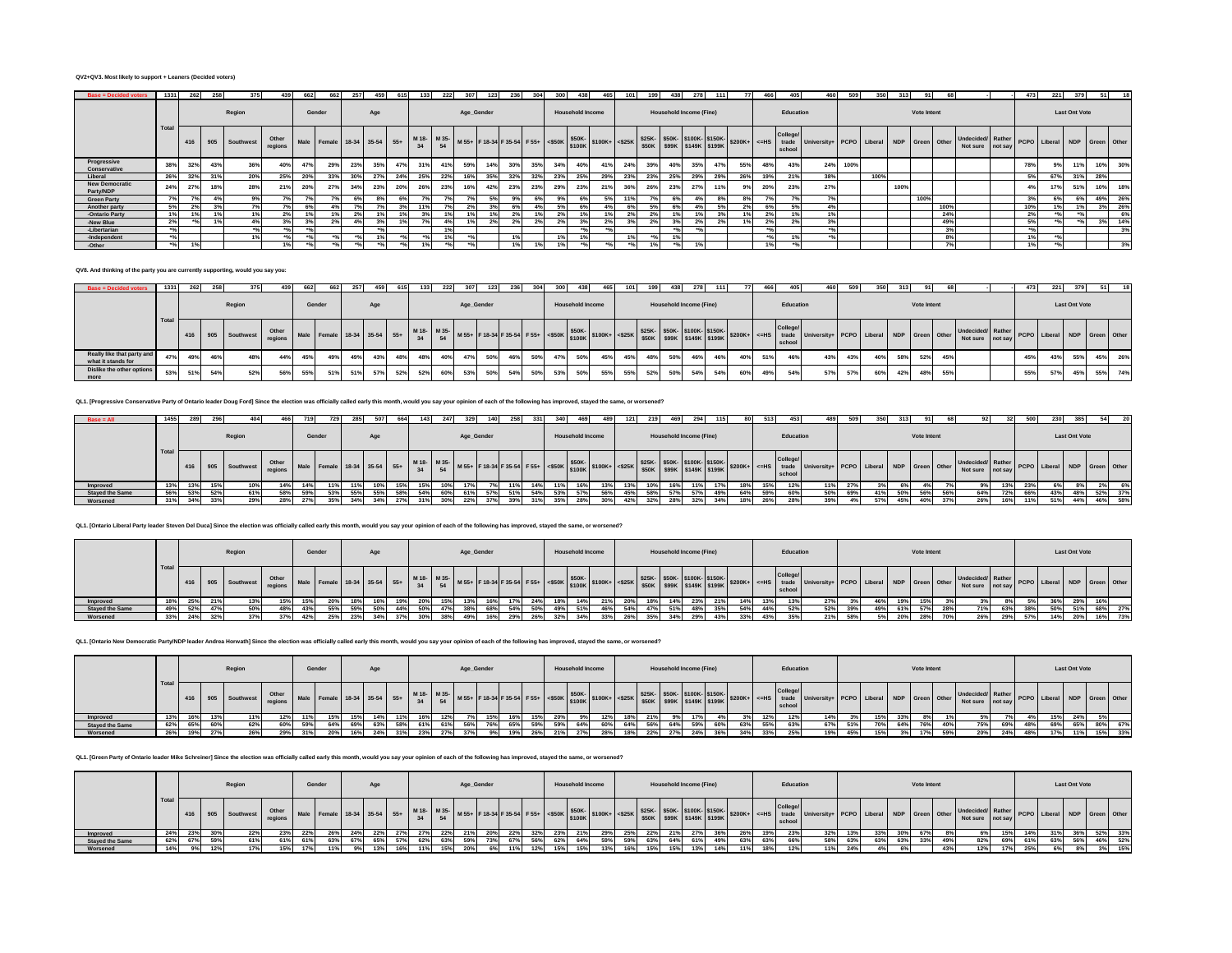#### **QV2+QV3. Most likely to support + Leaners (Decided voters)**

| <b>Base = Decided voters</b>       | 1331  | 262    | 258 | 375           |                  | 662 | 662                         |     |     |     |     | 222 | 307        |     |     |     |     | 438                     |     |     |     | 438 |                                |     |     | 466 | 405               | 460                                      | 509  | 350  | 313  |             |      |                                                                   | 473            | 221 | 379                  |     |     |
|------------------------------------|-------|--------|-----|---------------|------------------|-----|-----------------------------|-----|-----|-----|-----|-----|------------|-----|-----|-----|-----|-------------------------|-----|-----|-----|-----|--------------------------------|-----|-----|-----|-------------------|------------------------------------------|------|------|------|-------------|------|-------------------------------------------------------------------|----------------|-----|----------------------|-----|-----|
|                                    |       |        |     | Region        |                  |     | Gender                      |     | Age |     |     |     | Age_Gender |     |     |     |     | <b>Household Income</b> |     |     |     |     | <b>Household Income (Fine)</b> |     |     |     | Education         |                                          |      |      |      | Vote Intent |      |                                                                   |                |     | <b>Last Ont Vote</b> |     |     |
|                                    | Tota  | 416    |     | 905 Southwest | Other<br>regions |     | Male Female 18-34 35-54 55+ |     |     |     |     |     |            |     |     |     |     |                         |     |     |     |     |                                |     |     |     | College<br>school | University+ PCPO Liberal NDP Green Other |      |      |      |             |      | Undecided Rather PCPO Liberal NDP Green Other<br>Not sure not say |                |     |                      |     |     |
| Progressive<br>Conservative        | 38%   | 32%    | 43% | 36%           | 40%              | 47% | <b>29%</b>                  | 23% | 35% | 47% | 31% | 41% | 59%        | 14% | 30% | 35% | 34% | 40%                     | 41% | 24% | 39% | 40% | 35%                            | 47% | 55% | 48% | 43%               | 24%                                      | 100% |      |      |             |      |                                                                   | 78%            |     |                      | 10% | 30% |
| Liberal                            | 26%   | 32%    | 31% | 20%           | 25%              | 20% | 33%                         | 30% |     | 24% | 25% | 22% | 16%        | 35% | 32% | 32% | 23% | 25%                     | 29% | 23% | 23% | 25% | 29%                            | 29% | 26% | 19% | 21%               | 38%                                      |      | 100% |      |             |      |                                                                   | 5%             | 67% | 31%                  | 28% |     |
| <b>New Democratic</b><br>Party/NDP | 24%   | 27%    | 18% |               | 21%              | 20% | 27%                         | 34% | 23% | 20% | 26% | 23% | 16%        | 42% | 23% | 23% | 29% | 23%                     | 21% | 36% | 26% | 23% | 27%                            |     |     | 20% | 23%               | 27%                                      |      |      | 100% |             |      |                                                                   | 4 <sup>o</sup> | 17% | 51%                  | 10% | 18% |
| <b>Green Party</b>                 | 7%    |        | 4%  | 9%            |                  |     |                             |     |     |     |     |     |            | .5% |     |     | 9%  | 6%                      |     |     |     | 6%  |                                |     |     |     |                   | 7%                                       |      |      |      | 100%        |      |                                                                   | 3%             |     | 6%                   | 49% | 26% |
| Another party                      | 5%    | 2%     | 3%  |               |                  |     |                             |     |     |     |     |     |            |     |     |     | .5% | 69                      |     |     | 5%  |     |                                |     |     | 6%  |                   | 4%                                       |      |      |      |             | 100% |                                                                   | 10%            |     |                      | 3%  | 26% |
| -Ontario Party                     | 1%    |        | 1%  | 1%            |                  |     |                             |     |     |     | 3%  |     |            |     | 2%  |     |     | 1%                      | 1%  |     | 2%  | 1%  |                                |     |     | 2%  |                   | 1%                                       |      |      |      |             | 24%  |                                                                   | 2%             |     |                      |     | 6%  |
| -New Blue                          | 2%    | $+0.0$ | 192 |               |                  |     |                             |     |     |     |     |     |            |     | 2%  |     |     |                         |     |     |     |     |                                |     |     | 2%  |                   | 3%                                       |      |      |      |             | 49%  |                                                                   | 5%             |     | $+0.0$               | 3%  | 14% |
| -Libertarian                       | $+0L$ |        |     |               |                  |     |                             |     |     |     |     | 1%  |            |     |     |     |     | $+0$                    |     |     |     |     |                                |     |     |     |                   | $+0/$                                    |      |      |      |             | 20   |                                                                   | $+0$           |     |                      |     | 3%  |
| -Independent                       | $+0I$ |        |     | 491           |                  |     |                             |     | 49L |     |     | 491 |            |     |     |     |     | 1%                      |     |     |     | 19  |                                |     |     |     |                   |                                          |      |      |      |             | 8%   |                                                                   | 1%             |     |                      |     |     |
| -Other                             | $+0I$ | 401    |     |               |                  |     |                             |     |     |     |     |     |            |     |     |     |     |                         |     |     |     |     |                                |     |     | 196 |                   |                                          |      |      |      |             |      |                                                                   | 1%             |     |                      |     | 3%  |

**QV8. And thinking of the party you are currently supporting, would you say you:**

| <b>Base = Decided voters</b>                     | 1331  | 262 | 258     |                   | 439.             | 662 | 662                                                                                                                                                                                                                                      |     | 459 |     | 133 | 222 |            |     | 2361 |     | 300 | 438                     | 465. | 101 |     | 438 |                                |     |     |     |                   |                                                |     |     |     | 313 |             |     |                                                                         | 473 | 221 |                      |     | 18  |
|--------------------------------------------------|-------|-----|---------|-------------------|------------------|-----|------------------------------------------------------------------------------------------------------------------------------------------------------------------------------------------------------------------------------------------|-----|-----|-----|-----|-----|------------|-----|------|-----|-----|-------------------------|------|-----|-----|-----|--------------------------------|-----|-----|-----|-------------------|------------------------------------------------|-----|-----|-----|-----|-------------|-----|-------------------------------------------------------------------------|-----|-----|----------------------|-----|-----|
|                                                  |       |     |         | Region            |                  |     | Gender                                                                                                                                                                                                                                   |     | Age |     |     |     | Age_Gender |     |      |     |     | <b>Household Income</b> |      |     |     |     | <b>Household Income (Fine)</b> |     |     |     | Education         |                                                |     |     |     |     | Vote Intent |     |                                                                         |     |     | <b>Last Ont Vote</b> |     |     |
|                                                  | Tota. |     |         | 416 905 Southwest | Other<br>regions |     | Male Female 18-34 35-54 55+ M18- M35- M55+ F18-34 F35-54 F55+ 450K \$50K- \$100K+ 425K \$25K- \$30K- \$100K- \$150K-<br>Male Female 18-34 35-54 56+ M18- M55+ F18-34 F35-54 F55+ 4500K \$100K+ 425K \$50K \$99K \$149K \$199K \$200K+ <= |     |     |     |     |     |            |     |      |     |     |                         |      |     |     |     |                                |     |     |     | College<br>school | trade University+ PCPO Liberal NDP Green Other |     |     |     |     |             |     | other Undecided Rather PCPO Liberal NDP Green Other<br>Not sure not say |     |     |                      |     |     |
| Really like that party and<br>what it stands for | 47%   |     | 49% 46% |                   | 44%              | 45% | 49%                                                                                                                                                                                                                                      | 49% |     | 48% | 48% | 40% | 47%        | 50% | 46%  | 50% | 47% | 50%                     | 45%  | 45% | 48% | 50% | 46%                            | 46% | 40% | 51% | 46%               |                                                | 43% | 43% | 40% | 58% | 52%         | 45% |                                                                         | 45% | 43% | 55%                  | 45% | 26% |
| Dislike the other options<br>more                | 53%   | 51% | 54%     | 52%               | 56%              | 55% | 51%                                                                                                                                                                                                                                      | 51% | 57% | 52% | 52% | 60% | 53%        | 50% | 54%  | 50% | 53% | 50%                     | 55%  | 55% | 52% | 50% | 54%                            | 54% | 60% | 49% | 54%               |                                                | 57% | 57% | 60% | 42% | 48%         | 55% |                                                                         | 55% | 57% | 45%                  | 55% | 74% |

#### QL1. [Progressive Conservative Party of Ontario leader Doug Ford] Since the election was officially called early this month, would you say your opinion of each of the following has improved, stayed the same, or worsened?

|                        | 1455 |       |     |               |                  |     |                             |     |      |                   | 247 |            |                                                        |  |     | 46                      |     |  |    |                                                            |     |                           | 513        |                  |                                          | 500 |     |             |      |                                       |  |                              |                      | 541 | 20  |
|------------------------|------|-------|-----|---------------|------------------|-----|-----------------------------|-----|------|-------------------|-----|------------|--------------------------------------------------------|--|-----|-------------------------|-----|--|----|------------------------------------------------------------|-----|---------------------------|------------|------------------|------------------------------------------|-----|-----|-------------|------|---------------------------------------|--|------------------------------|----------------------|-----|-----|
|                        |      |       |     | Region        |                  |     | Gender                      | Age |      |                   |     | Age_Gender |                                                        |  |     | <b>Household Income</b> |     |  |    | <b>Household Income (Fine)</b>                             |     |                           |            | Education        |                                          |     |     | Vote Intent |      |                                       |  |                              | <b>Last Ont Vote</b> |     |     |
|                        | Tota | $-41$ |     | 905 Southwest | Other<br>regions |     | Male Female 18-34 35-54 55+ |     |      | M 18- M 35-<br>34 |     |            | M 55+ F 18-34 F 35-54 F 55+ S50K S100K+ S25K   CRAIK - |  |     |                         |     |  |    | \$25K- \$50K- \$100K- \$150K-<br>\$50K \$99K \$149K \$199K |     | $$200K +    + =   $ trade |            | Colleg<br>school | University+ PCPO Liberal NDP Green Other |     |     |             |      | Undecided/ Rather<br>Not sure not say |  | PCPO Liberal NDP Green Other |                      |     |     |
| Improved               | 13%  |       |     | 10%           |                  |     |                             |     |      |                   | 10% |            |                                                        |  |     | 16%                     |     |  | 16 |                                                            | 17% |                           | 15%        |                  |                                          |     |     |             |      |                                       |  |                              |                      |     | 6%  |
| <b>Stayed the Same</b> | 56%  |       | 52% | 61%           |                  | 59% |                             |     |      |                   | 60° |            |                                                        |  |     | 57%                     |     |  |    |                                                            | 49% |                           | <b>50%</b> | 60%              |                                          |     |     | 56%         |      | <b>S4%</b>                            |  | 43%                          |                      |     | 37% |
| Worsened               | 31%  | 34%   | 33% | nne           |                  |     |                             |     | 270/ | 240/              | 30% | 22%        |                                                        |  | 35% | 28%                     | 300 |  | 28 | 32%                                                        | 34% |                           | 26%        | 28%              |                                          |     | 45% | 40%         | 270/ | 26%                                   |  | 51%                          |                      | 46% | 58% |

# **QL1. [Ontario Liberal Party leader Steven Del Duca] Since the election was officially called early this month, would you say your opinion of each of the following has improved, stayed the same, or worsened?**

|                        |      |     |     | Region            |                  | Gender                      | Age |                                | Age_Gender |  |     |     | <b>Household Income</b> |                                                    |     |     |      | <b>Household Income (Fine)</b> |     |             |     | Education                                                              |                                           |     |  | Vote Intent |                                       |     |     |                              | <b>Last Ont Vote</b> |     |     |
|------------------------|------|-----|-----|-------------------|------------------|-----------------------------|-----|--------------------------------|------------|--|-----|-----|-------------------------|----------------------------------------------------|-----|-----|------|--------------------------------|-----|-------------|-----|------------------------------------------------------------------------|-------------------------------------------|-----|--|-------------|---------------------------------------|-----|-----|------------------------------|----------------------|-----|-----|
|                        | Tota |     |     | 416 905 Southwest | Other<br>regions | Male Female 18-34 35-54 55+ |     | M 18- M 35-<br>34 <sup>7</sup> |            |  |     |     |                         | M 55+ F 18-34 F 35-54 F 55+ <\$50K \$100K + <\$25K |     |     |      | \$50K \$99K \$149K \$199K      |     |             |     | Colle<br>$525K - 1525K - 550K - 5100K - 5150K - 5200K + 645$<br>school | Juniversity+ PCPO Liberal NDP Green Other |     |  |             | Undecided/ Rather<br>Not sure not say |     |     | PCPO Liberal NDP Green Other |                      |     |     |
| Improved               |      |     |     |                   |                  |                             |     |                                |            |  | 24% |     |                         |                                                    |     |     |      |                                |     | 14%         |     |                                                                        |                                           |     |  |             |                                       |     |     |                              | 29%                  | 16% |     |
| <b>Stayed the Same</b> |      |     |     |                   |                  |                             |     |                                |            |  |     |     |                         |                                                    |     |     |      |                                |     | <b>EA9/</b> | 44% | 52%                                                                    |                                           |     |  |             |                                       |     | 200 |                              |                      |     |     |
| Worsened               | 33%  | 24% | 32% |                   |                  |                             |     |                                |            |  | 26% | 32% | 34%                     |                                                    | 26% | 35% | .34% | 29%                            | 43% | 33%         | 43% | 35%                                                                    | 21%                                       | 58% |  | 28%         | 26%                                   | 29% | 57% |                              | 20%                  | 16% | 73% |

**QL1. [Ontario New Democratic Party/NDP leader Andrea Horwath] Since the election was officially called early this month, would you say your opinion of each of the following has improved, stayed the same, or worsened?**

|                        |                   |     |     | Regior            |                  |     | Gender                      | Age |     |                 |       | Age_Gender                                               |  |     | <b>Household Income</b> |     |     |            | <b>Household Income (Fine)</b> |     |  |     | Education      |                                                                                                                                                                                                                                                                                                                                                                                                         |     |                 | Vote Intent |                                       |     |                              |     | <b>Last Ont Vote</b> |         |
|------------------------|-------------------|-----|-----|-------------------|------------------|-----|-----------------------------|-----|-----|-----------------|-------|----------------------------------------------------------|--|-----|-------------------------|-----|-----|------------|--------------------------------|-----|--|-----|----------------|---------------------------------------------------------------------------------------------------------------------------------------------------------------------------------------------------------------------------------------------------------------------------------------------------------------------------------------------------------------------------------------------------------|-----|-----------------|-------------|---------------------------------------|-----|------------------------------|-----|----------------------|---------|
|                        | <sup>1</sup> Tota |     |     | 416 905 Southwest | Other<br>regions |     | Male Female 18-34 35-54 55+ |     |     | M1 <sup>F</sup> | M 35- | M 55+ F 18-34 F 35-54 F 55+ SSOK STOOK STOOK+ S25K SZ5K- |  |     |                         |     |     |            |                                |     |  |     | Colle<br>schoo | $K$ \$25K- \$50K- \$100K- \$150K- \$200K+ $\left  \begin{array}{cc} \text{1.3cm} & \text{2.3cm} \\ \text{2.3cm} & \text{2.3cm} \end{array} \right $ + $\left  \begin{array}{cc} \text{2.3cm} & \text{2.3cm} \\ \text{2.3cm} & \text{2.3cm} \end{array} \right $ + $\left  \begin{array}{cc} \text{2.3cm} & \text{2.3cm} \\ \text{2.3cm} & \text{2.3cm} \end{array} \right $ + $\left  \begin{array}{cc$ |     |                 |             | Undecided/ Rather<br>Not sure not say |     | PCPO Liberal NDP Green Other |     |                      |         |
| Improved               | 13%               |     |     |                   |                  |     |                             |     |     | 16%             | 12%   |                                                          |  |     |                         |     |     |            |                                |     |  |     | 12%            |                                                                                                                                                                                                                                                                                                                                                                                                         |     |                 |             |                                       |     |                              | 15% | 24%                  |         |
| <b>Stayed the Same</b> | 62%               |     |     |                   | 60%              |     |                             |     |     |                 |       |                                                          |  | 59% | 64%                     |     |     | <b>ECM</b> | 64%                            |     |  | 55% | 63%            |                                                                                                                                                                                                                                                                                                                                                                                                         | 51% | 64 <sup>c</sup> |             | 75%                                   | 69% | <b>48</b>                    | 69% | 65%                  | 67%     |
| Worsened               | 26%               | 19% | 27% |                   | 29%              | 31% |                             |     | 31% | 23%             | 27%   |                                                          |  | 21% | 27%                     | 28% | 18% | 22%        | 27%                            | 24% |  | 33% | 25%            | 19%                                                                                                                                                                                                                                                                                                                                                                                                     | 45% |                 |             | 20%                                   | 24% | 48%                          | 17% | 11%                  | 15% 33% |

#### **QL1. [Green Party of Ontario leader Mike Schreiner] Since the election was officially called early this month, would you say your opinion of each of the following has improved, stayed the same, or worsened?**

|                        |      |     |     | Region            |                  |     | Gender                      | Age |     |      |       | Age_Gender                                                                                                                                                   |  |     | <b>Household Income</b> |     |     |     | <b>Household Income (Fine)</b> |  |     |     | Education        |     |     |                                    |     | Vote Intent |                                                                         |      |     | <b>Last Ont Vote</b> |     |     |
|------------------------|------|-----|-----|-------------------|------------------|-----|-----------------------------|-----|-----|------|-------|--------------------------------------------------------------------------------------------------------------------------------------------------------------|--|-----|-------------------------|-----|-----|-----|--------------------------------|--|-----|-----|------------------|-----|-----|------------------------------------|-----|-------------|-------------------------------------------------------------------------|------|-----|----------------------|-----|-----|
|                        | Tot. |     |     | 416 905 Southwest | Other<br>regions |     | Male Female 18-34 35-54 55+ |     |     | M 18 | M 35- | $\left  \frac{1}{25} \right $ M 55+ F 18-34 F 35-54 F 55+ $\left  \frac{1}{500 \text{K}} \right $ S100K $\left  \frac{1}{500 \text{K}} \right $ S25n   S500. |  |     |                         |     |     |     |                                |  |     |     | Colleg<br>school |     |     | sitv+ PCPO Liberal NDP Green Other |     |             | Other Undecided Rather PCPO Liberal NDP Green Other<br>Not sure not say |      |     |                      |     |     |
| Improved               | 24%  |     |     |                   | 23%              | 22% |                             |     |     |      |       |                                                                                                                                                              |  |     |                         |     | 25% | 22% | 21%                            |  |     | 19% | 23%              |     | 13% |                                    |     |             |                                                                         | 15%  |     |                      |     | 33% |
| <b>Stayed the Same</b> | 62%  | 67% | 59% |                   | 61%              | 61% | 63                          |     |     | 62%  | 63%   |                                                                                                                                                              |  | 62% |                         |     | 59% | 63% | 64%                            |  | 63% | 63% | 66%              | 58% | 63% | 63%                                | 63% |             | 82%                                                                     | : כס | 63% | 56%                  | 46% | 52% |
| Worsened               | 14%  |     |     |                   |                  |     | 11%                         |     | 16% | 11%  | - 15% |                                                                                                                                                              |  | 15% |                         | 13% |     | 15% | 15%                            |  |     | 18% |                  | 11% | 24% |                                    |     |             | 12%                                                                     |      |     |                      |     | 15% |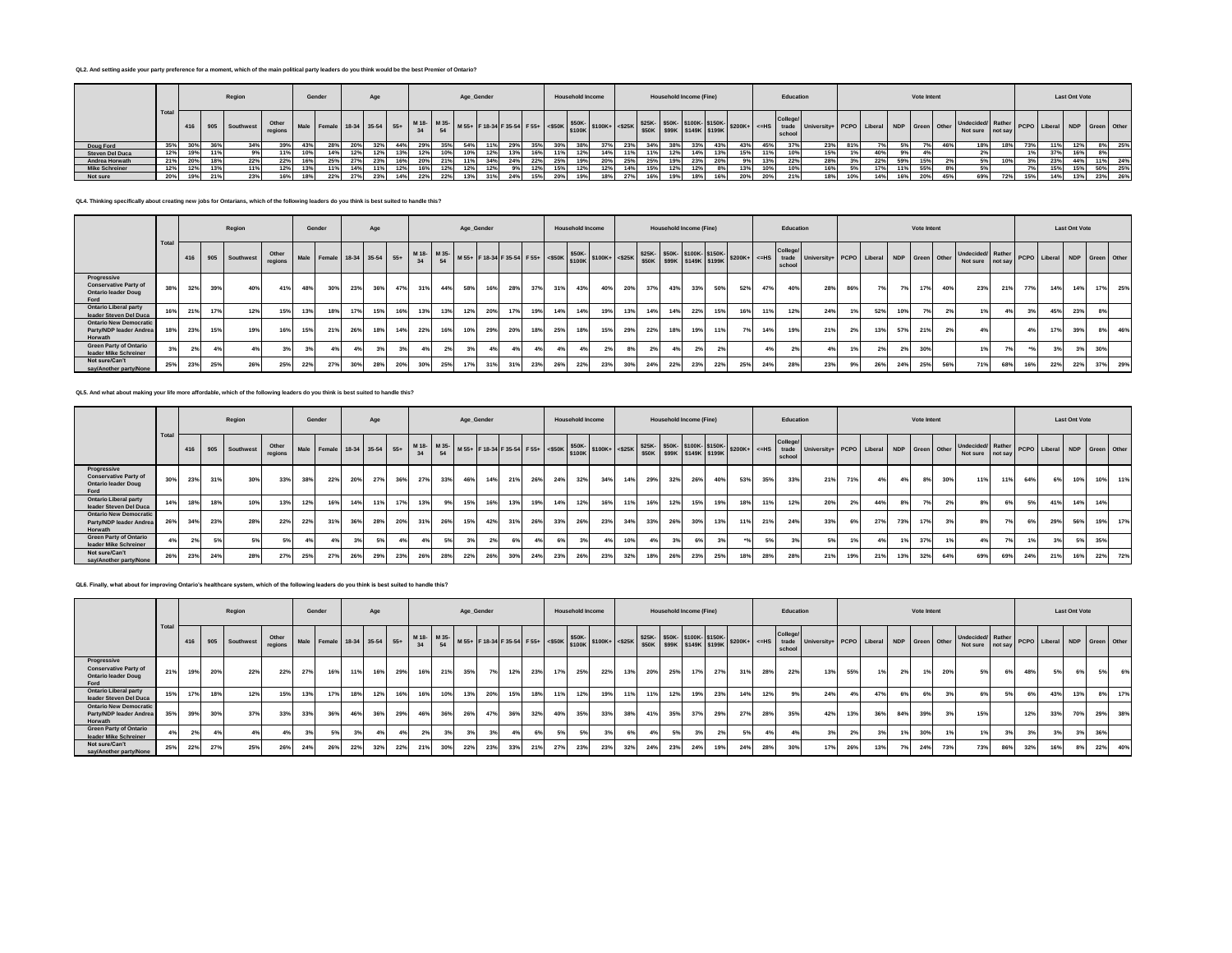### **QL2. And setting aside your party preference for a moment, which of the main political party leaders do you think would be the best Premier of Ontario?**

|                        |                   |     |     | Region            |                  |       | Gender                      |        | Age |     |                   |                 | Age_Gender |     |                                                           |     |     | <b>Household Income</b> |     |     |     | <b>Household Income (Fine)</b> |     |     |     | Education        |                                                                                       |     |     |      | Vote Intent |                                       |     |                              | <b>Last Ont Vote</b> |     |     |
|------------------------|-------------------|-----|-----|-------------------|------------------|-------|-----------------------------|--------|-----|-----|-------------------|-----------------|------------|-----|-----------------------------------------------------------|-----|-----|-------------------------|-----|-----|-----|--------------------------------|-----|-----|-----|------------------|---------------------------------------------------------------------------------------|-----|-----|------|-------------|---------------------------------------|-----|------------------------------|----------------------|-----|-----|
|                        | <sup>1</sup> Tota |     |     | 416 905 Southwest | Other<br>regions |       | Male Female 18-34 35-54 55+ |        |     |     | M 18- M 35-<br>24 |                 |            |     | M 55+ F 18-34 F 35-54 F 55+ S50K \$50K-<br>\$100K+ <\$25K |     |     |                         |     |     |     | \$25K- \$50K- \$100K- \$150K-  |     |     |     | Colleg<br>school | 95K SSOK S99K S149K S199K S200K+ <= HS trade University+ PCPO Liberal NDP Green Other |     |     |      |             | Undecided/ Rather<br>Not sure not say |     | PCPO Liberal NDP Green Other |                      |     |     |
| Doug Ford              | 35%               |     |     |                   |                  | -4.57 |                             |        |     |     |                   |                 |            |     |                                                           |     |     |                         |     |     |     |                                |     |     | 45% | 37%              | 23%                                                                                   |     |     |      |             |                                       | 13% |                              |                      | 8%  | 25% |
| <b>Steven Del Duca</b> | 12%               |     | 11% |                   |                  |       | 14%                         | 12%    |     | 13% | 12%               | 10%             | 10%        | 12% |                                                           | 16% | 11% |                         | 11% | 11% | 12% | 14%                            | 13% | 15% | 11% | 10%              | 15%                                                                                   |     | 40% | . Qo |             |                                       | 1%  | 37%                          |                      | 8%  |     |
| Andrea Horwath         | 21%               |     | 18% | 22%               | 22%              |       | 25%                         |        |     | 16% | <b>20%</b>        |                 | 11%        |     |                                                           | 22% | 25% |                         | 25% | 25% | 19% | 23%                            | 20% | 9%1 | 13% | 22%              | 28%                                                                                   | 20  | 22% | 59°  | 15%         |                                       | 3%  | 23%                          | 44%                  | 11% | 24% |
| <b>Mike Schreiner</b>  | 12%               |     |     |                   | 12%              |       | 11%                         | 14%    |     | 12% | 16%               |                 |            | 12% |                                                           | 12% | 15% |                         | 14% | 15% | 12% | 12%                            |     |     | 10% | 10%              | 16%                                                                                   | 5%  | 17% |      | 55%         |                                       | 7%  |                              | 15%                  | 50% | 25% |
| Not sure               | 20%               | 19% | 21% |                   | 16%              |       | 22%                         | $-70/$ |     | 14% | 22%               | 22 <sup>°</sup> | 129/       |     |                                                           | 15% | 20% |                         | 27% | 16% | 19% | 18%                            | 16% | 20% | 20% | 21%              | 18%                                                                                   | 10% | 14% |      |             |                                       | 15% |                              |                      | 23% | 26% |

## **QL4. Thinking specifically about creating new jobs for Ontarians, which of the following leaders do you think is best suited to handle this?**

|                                                                                   |      |     |     | Region            |                  |     | Gender                      |     | Age |     |     |     |     | Age_Gender |     |     |     | <b>Household Income</b> |     |     |     |     | <b>Household Income (Fine)</b> |     |     |                |     | Education                                                                                                                                                                                                                                            |                                          |     |     |     | Vote Intent |     |                                                                   |     |     |     | <b>Last Ont Vote</b> |     |           |
|-----------------------------------------------------------------------------------|------|-----|-----|-------------------|------------------|-----|-----------------------------|-----|-----|-----|-----|-----|-----|------------|-----|-----|-----|-------------------------|-----|-----|-----|-----|--------------------------------|-----|-----|----------------|-----|------------------------------------------------------------------------------------------------------------------------------------------------------------------------------------------------------------------------------------------------------|------------------------------------------|-----|-----|-----|-------------|-----|-------------------------------------------------------------------|-----|-----|-----|----------------------|-----|-----------|
|                                                                                   | Tota |     |     | 416 905 Southwest | Other<br>regions |     | Male Female 18-34 35-54 55+ |     |     |     |     |     |     |            |     |     |     |                         |     |     |     |     |                                |     |     |                |     | College/<br>M 18- M 35- M 55+ F 18-34 F 35-54 F 55+ SSOK- STOOK+ SSOK- SSOK- SSOK- STOOK- STOOK- STOOK- STOOK- STOOK- STOOK- STOOK- STOOK- STOOK- STOOK- STOOK- STOOK- STOOK- STOOK- STOOK- STOOK- STOOK- STOOK- STOOK- STOOK- STOOK- STOO<br>school | University+ PCPO Liberal NDP Green Other |     |     |     |             |     | Undecided Rather PCPO Liberal NDP Green Other<br>Not sure not say |     |     |     |                      |     |           |
| Progressive<br><b>Conservative Party of</b><br><b>Ontario leader Doug</b><br>Ford | 38%  | 32% | 39% | 40%               | 41%              | 48% | 30%                         | 23% | 36% | 47% | 31% | 44% | 58% | 16%        | 28% | 37% | 31% | 43%                     | 40% | 20% | 37% |     | 43%                            | 33% | 50% | 52%            | 47% | 40%                                                                                                                                                                                                                                                  | 28%                                      | 86% | 7%  | 7%1 | 17%         | 40% | 23%                                                               | 21% | 77% | 14% | 14%                  | 17% | 25%       |
| <b>Ontario Liberal party</b><br>leader Steven Del Duca                            | 16%  | 21% | 17% | 12%               | 15%              | 13% | 18%                         | 17% | 15% | 16% | 13% | 13% | 12% | 20%        | 17% | 19% | 14% | 14%                     | 19% | 13% | 14% |     | 14%                            | 22% | 15% | 16%            | 11% | 12%                                                                                                                                                                                                                                                  | 24%                                      |     | 52% | 10% |             |     |                                                                   | 4%  | 3%  | 45% | 23%                  |     | 8%        |
| <b>Ontario New Democratic</b><br>Party/NDP leader Andrea<br>Horwath               | 18%  | 23% | 15% | 19%               | 16%              | 15% | 21%                         | 26% | 18% | 14% | 22% | 16% | 10% | 29%        | 20% | 18% | 25% | 18%                     | 15% | 29% | 22% |     | 18%                            | 19% | 11% | 7 <sup>o</sup> | 14% | 19%                                                                                                                                                                                                                                                  | 21%                                      | 2%  | 13% | 57% | 21%         | 2%  |                                                                   |     | 4%  | 17% | 39%                  |     | 46%<br>8% |
| <b>Green Party of Ontario</b><br>leader Mike Schreiner                            |      | 2%  |     |                   |                  | 3%  |                             |     | 3%  | 3%  | 4%  |     |     |            |     | 4%  |     |                         |     |     | 2%  |     |                                |     |     |                |     |                                                                                                                                                                                                                                                      | 4%                                       |     | 2%  | 2%  | 30%         |     |                                                                   |     |     |     | 3%                   | 30% |           |
| Not sure/Can't<br>say/Another party/None                                          | 25%  | 23% | 25% | 26%               | 25%              | 22% | 27 <sup>°</sup>             | 30% | 28% | 20% | 30% | 25% | 17% | 31%        | 31% | 23% | 26% | 22%                     | 23% | 30% | 24% | 22% |                                | 23% | 22% | 25%            | 24% | 28%                                                                                                                                                                                                                                                  | 23%                                      | 9%  | 26% | 24% | 25%         | 56% | 71%                                                               | 68% | 16% | 22% | 22%                  | 37% | 29%       |

# **QL5. And what about making your life more affordable, which of the following leaders do you think is best suited to handle this?**

|                                                                                   |      | Region |     |                       |       |     | Gender                      |     | Age |     |     |     | Age_Gender |     |     |     |     | <b>Household Income</b> |     |     |     |     | <b>Household Income (Fine)</b> |     |     |     | Education          |                                          |     |     |     | Vote Intent |      |                                                                   |     |     |     | <b>Last Ont Vote</b> |            |
|-----------------------------------------------------------------------------------|------|--------|-----|-----------------------|-------|-----|-----------------------------|-----|-----|-----|-----|-----|------------|-----|-----|-----|-----|-------------------------|-----|-----|-----|-----|--------------------------------|-----|-----|-----|--------------------|------------------------------------------|-----|-----|-----|-------------|------|-------------------------------------------------------------------|-----|-----|-----|----------------------|------------|
|                                                                                   | Tota | 416    |     | 905 Southwest regions | Other |     | Male Female 18-34 35-54 55+ |     |     |     |     |     |            |     |     |     |     |                         |     |     |     |     |                                |     |     |     | College/<br>school | University+ PCPO Liberal NDP Green Other |     |     |     |             |      | Undecided Rather PCPO Liberal NDP Green Other<br>Not sure not say |     |     |     |                      |            |
| Progressive<br><b>Conservative Party of</b><br><b>Ontario leader Doug</b><br>Ford | 30%  | 23%    | 31% | 30%                   | 33%   | 38% | 22%                         | 20% | 27% | 36% | 27% | 33% | 46%        | 14% | 21% | 26% | 24% | 32%                     | 34% | 14% | 29% | 32% | 26%                            | 40% | 53% | 35% | 33%                | 21%                                      | 71% | 4%  | 4%  | 8%          | 30%  | 11%                                                               | 11% | 64% | 6%  | 10%                  | 10%<br>11% |
| <b>Ontario Liberal party</b><br>leader Steven Del Duca                            | 14%  | 18%    | 18% | 10%                   | 13%   | 12% | 16%                         | 14% | 11% | 17% | 13% | 9%  | 15%        | 16% | 13% | 19% | 14% | 12%                     | 16% | 11% | 16% | 12% | 15%                            |     | 18° | 11% | 12%                | 20%                                      | 2%  | 44% |     |             |      | 8%                                                                | 6%  | 5%  | 41% | 14%                  | 14%        |
| <b>Ontario New Democratic</b><br>Party/NDP leader Andrea<br>Horwath               | 26%  | 34%    | 23% | 28%                   | 22%   | 22% | 31%                         | 36% | 28% | 20% | 31% | 26% | 15%        | 42% | 31% | 26% | 33% | 26%                     | 23% | 34% | 33% | 26% | 30%                            | 13% | 11% | 21% | 24%                | 33%                                      | 6%  | 27% | 73% | 17%         | 0.01 | 8%                                                                |     | 6%  | 29% | 56%                  | 19%<br>17% |
| <b>Green Party of Ontario</b><br>leader Mike Schreiner                            |      | 2%     |     |                       |       |     |                             |     |     |     | 4%  | 5%  |            |     |     |     |     | 3%                      | 4%  |     | 4%  | 3%  | 6%                             |     |     | 5%  |                    | 5%                                       |     |     |     | 37%         |      | 4%                                                                |     | 1%  |     | 5%                   | 35%        |
| Not sure/Can't<br>say/Another party/None                                          | 26%  | 23%    | 24% |                       | 27%   | 25% | 27%                         | 26% | 29% | 23% | 26% | 28% | 22%        | 26% | 30% | 24% | 23% | 26%                     | 23% | 32% | 18% | 26% | 23%                            | 25% | 18% | 28% | 28%                | 21%                                      | 19% | 21% | 13% | 32%         | 64%  | 69%                                                               | 69% | 24% | 21% | 16%                  | 22%<br>72% |

#### **QL6. Finally, what about for improving Ontario's healthcare system, which of the following leaders do you think is best suited to handle this?**

|                                                                                   |      |     |     | Region                             |     |     | Gender |     | Age |     |     |     | Age_Gender |     |     |     |     | <b>Household Income</b> |     |     |     |     | Household Income (Fine) |     |     |     | Education          |                                                                                                                                                                                                                                                          |     |     |     | Vote Intent |     |                                               |     |     |     | <b>Last Ont Vote</b> |     |           |
|-----------------------------------------------------------------------------------|------|-----|-----|------------------------------------|-----|-----|--------|-----|-----|-----|-----|-----|------------|-----|-----|-----|-----|-------------------------|-----|-----|-----|-----|-------------------------|-----|-----|-----|--------------------|----------------------------------------------------------------------------------------------------------------------------------------------------------------------------------------------------------------------------------------------------------|-----|-----|-----|-------------|-----|-----------------------------------------------|-----|-----|-----|----------------------|-----|-----------|
|                                                                                   | Tota |     |     | 416 905 Southwest Other<br>regions |     |     |        |     |     |     |     |     |            |     |     |     |     |                         |     |     |     |     |                         |     |     |     | College/<br>school | Mail Female 18-34 35-54 55+ M34 M35+ F18-34 F35-54 F55+ 4500K \$100K + 4325K \$30K \$300K \$300K \$300K \$300K \$300K \$300K \$300K \$300K \$300K \$300K \$300K \$300K \$300K \$300K \$300K \$300K \$300K \$300K \$300K \$300K \$300K \$300K \$300K \$30 |     |     |     |             |     | Undecided/Rather PCPO Liberal NDP Green Other |     |     |     |                      |     |           |
| Progressive<br><b>Conservative Party of</b><br><b>Ontario leader Doug</b><br>Ford | 21%  | 19% | 20% | 22%                                | 22% | 27% | 16%    | 11% | 16% | 29% | 16% | 21% | 35%        |     | 12% | 23% | 17% | 25%                     | 22% | 13% | 20% | 25% | 17%                     | 27% | 31% | 28% | 22%                | 13%                                                                                                                                                                                                                                                      | 55% | 1%  | 2%  | 1%          | 20% | 5%1                                           | 6%  | 48% | 5%  | 6%                   |     | 6%<br>5%  |
| <b>Ontario Liberal party</b><br>leader Steven Del Duca                            | 15%  | 17% | 18% |                                    | 15% | 13% | 17%    | 18% |     | 16% | 16% | 10% | 13%        | 20% | 15% | 18% | 11% | 12%                     | 19% | 11% | 11% | 12% | 19%                     | 23% | 14% | 12% |                    | 24%                                                                                                                                                                                                                                                      | 4%  | 47% | 6%  |             |     |                                               |     | 6%  | 43% | 13%                  |     | 17%<br>8% |
| <b>Ontario New Democratic</b><br>Party/NDP leader Andrea<br>Horwath               | 35%  | 39% | 30% | 37%                                | 33% | 33% | 36%    | 46% | 36% | 29% | 46% | 36% | 26%        | 47% | 36% | 32% | 40% | 35%                     | 33% | 38% | 41% | 35% | 37%                     | 29% | 27% | 28% | 35%                | 42%                                                                                                                                                                                                                                                      | 13% | 36% | 84% | 39%         |     | 15%                                           |     | 12% | 33% | 70%                  | 29% | 38%       |
| <b>Green Party of Ontario</b><br>leader Mike Schreiner                            |      | 2%  |     |                                    |     |     |        |     |     |     |     |     |            |     |     |     |     | 5%                      |     |     |     |     |                         |     |     |     |                    |                                                                                                                                                                                                                                                          |     |     |     | 30%         |     |                                               |     |     |     |                      | 36% |           |
| Not sure/Can't<br>say/Another party/None                                          | 25%  | 22% | 27% | 25%                                | 26% | 24% | 26%    | 22% | 32% | 22% | 21% | 30% | 22%        | 23% | 33% | 21% | 27% | 23%                     | 23% | 32% | 24% | 23% | 24%                     | 19% | 24% | 28% | 30%                | 17%                                                                                                                                                                                                                                                      | 26% | 13% |     | 24%         | 73% | 73%                                           | 86% | 32% | 16% | 8%                   | 22% | 40%       |